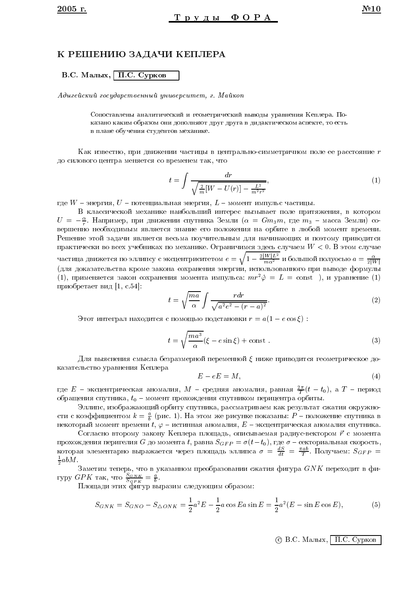## К РЕШЕНИЮ ЗАДАЧИ КЕПЛЕРА

В.С. Малых, П.С. Сурков

Адыгейский государственный университет, г. Майкоп

Сопоставлены аналитический и геометрический выводы уравнения Кеплера. Показано каким образом они дополняют друг друга в дидактическом аспекте, то есть в плане обучения студентов механике.

Как известно, при движении частицы в центрально-симметричном поле ее расстояние т до силового центра меняется со временем так, что

$$
t = \int \frac{dr}{\sqrt{\frac{2}{m}[W - U(r)] - \frac{L^2}{m^2 r^2}}},\tag{1}
$$

где  $W$  – энергия,  $U$  – потенциальная энергия,  $L$  – момент импульс частицы.

В классической механике наибольший интерес вызывает поле притяжения, в котором  $U = -\frac{\alpha}{r}$ . Например, при движении спутника Земли ( $\alpha = Gm_3m$ , где  $m_3$  – масса Земли) совершенно необходимым является знание его положения на орбите в любой момент времени. Решение этой задачи является весьма поучительным для начинающих и поэтому приводится практически во всех учебниках по механике. Ограничимся здесь случаем  $W < 0$ . В этом случае частица движется по эллипсу с эксцентриситетом  $e = \sqrt{1 - \frac{2|W|L^2}{m\alpha^2}}$  и большой полуосью  $a = \frac{\alpha}{2|W|}$ (для доказательства кроме закона сохранения энергии, использованного при выводе формулы (1), применяется закон сохранения момента импульса:  $mr^2\dot{\varphi} = L = \text{const}$ ), и уравнение (1) приобретает вид [1, с.54]:

$$
t = \sqrt{\frac{ma}{\alpha}} \int \frac{r dr}{\sqrt{a^2 e^2 - (r - a)^2}}.
$$
 (2)

Этот интеграл находится с помощью подстановки  $r = a(1 - e \cos \xi)$ :

$$
t = \sqrt{\frac{ma^3}{\alpha}} (\xi - e \sin \xi) + \text{const} \tag{3}
$$

Для выяснения смысла безразмерной переменной  $\xi$  ниже приводится геометрическое доказательство уравнения Кеплера

$$
E - eE = M,\t\t(4)
$$

где  $E$  – эксцентрическая аномалия,  $M$  – средняя аномалия, равная  $\frac{2\pi}{T}(t-t_0)$ , а  $T$  – период обращения спутника,  $t_0$  – момент прохождения спутником перицентра орбиты.

Эллипс, изображающий орбиту спутника, рассматриваем как результат сжатия окружности с коэффициентом  $k = \frac{a}{b}$  (рис. 1). На этом же рисунке показаны:  $P$  – положение спутника в некоторый момент времени  $t, \varphi$  – истинная аномалия,  $E$  – эксцентрическая аномалия спутника.

Согласно второму закону Кеплера площадь, описываемая радиус-вектором  $\vec{r}$  с момента прохождения перигелия *G* до момента *t*, равна  $S_{GFP} = \sigma(t-t_0)$ , где  $\sigma$  – секториальная скорость, которая элементарно выражается через площадь эллипса  $\sigma = \frac{dS}{dt} = \frac{\pi ab}{T}$ . Получаем:  $S_{GFP} =$  $\frac{1}{2}abM$ .

Заметим теперь, что в указанном преобразовании сжатия фигура  $GNK$  переходит в фигуру  $GPK$  так, что  $\frac{S_{GNK}}{S_{GPK}} = \frac{a}{b}$ .<br>
Площади этих фигур выразим следующим образом:

$$
S_{GNK} = S_{GNO} - S_{\triangle ONK} = \frac{1}{2}a^2E - \frac{1}{2}a\cos Ea\sin E = \frac{1}{2}a^2(E - \sin E\cos E),
$$
 (5)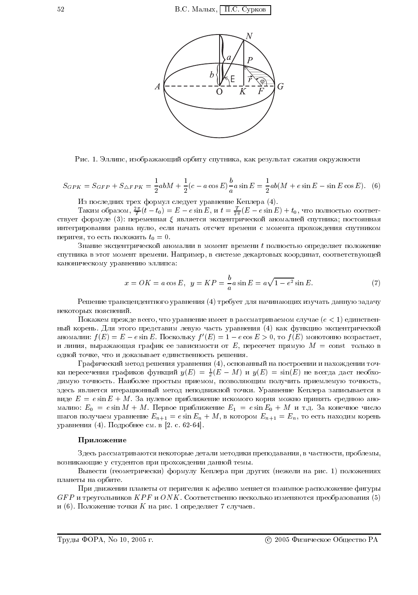

Рис. 1. Эллипс, изображающий орбиту спутника, как результат сжатия окружности

$$
S_{GPK} = S_{GFP} + S_{\triangle FPK} = \frac{1}{2}abM + \frac{1}{2}(c - a\cos E)\frac{b}{a}a\sin E = \frac{1}{2}ab(M + e\sin E - \sin E\cos E). \tag{6}
$$

Из последних трех формул следует уравнение Кеплера (4).

Таким образом,  $\frac{2\pi}{T}(t-t_0) = E - e \sin E$ , и  $t = \frac{T}{2\pi}(E - e \sin E) + t_0$ , что полностью соответствует формуле (3): переменная  $\xi$  является эксцентрической аномалией спутника; постоянная интегрирования равна нулю, если начать отсчет времени с момента прохождения спутником перигея, то есть положить  $t_0 = 0$ .

Знание экспентрической аномалии в момент времени  $t$  полностью определяет положение спутника в этот момент времени. Например, в системе декартовых координат, соответствующей каноническому уравнению эллипса:

$$
x = OK = a \cos E, \ \ y = KP = \frac{b}{a} a \sin E = a \sqrt{1 - e^2} \sin E.
$$
 (7)

Решение трансцендентного уравнения (4) требует для начинающих изучать данную задачу некоторых пояснений.

Покажем прежде всего, что уравнение имеет в рассматриваемом случае  $(e < 1)$  единственный корень. Для этого представим левую часть уравнения (4) как функцию эксцентрической аномалии:  $f(E) = E - e \sin E$ . Поскольку  $f'(E) = 1 - e \cos E > 0$ , то  $f(E)$  монотонно возрастает, и линия, выражающая график ее зависимости от E, пересечет прямую  $M = \text{const}$  только в одной точке, что и доказывает единственность решения.

Графический метод решения уравнения (4), основанный на построении и нахождении точки пересечения графиков функций  $y(E) = \frac{1}{e}(E - M)$  и  $y(E) = \sin(E)$  не всегда даст необходимую точность. Наиболее простым приемом, позволяющим получить приемлемую точность, здесь является итерационный метод неподвижной точки. Уравнение Кеплера записывается в виде  $E = e \sin E + M$ . За нулевое приближение искомого корня можно принять среднюю аномалию:  $E_0 = e \sin M + M$ . Первое приближение  $E_1 = e \sin E_0 + M$  и т.д. За конечное число шагов получаем уравнение  $E_{n+1} = e \sin E_n + M$ , в котором  $E_{n+1} = E_n$ , то есть находим корень уравнения (4). Подробнее см. в [2. с. 62-64].

#### Приложение

Здесь рассматриваются некоторые детали методики преподавания, в частности, проблемы, возникающие у студентов при прохождении данной темы.

Вывести (геометрически) формулу Кеплера при других (нежели на рис. 1) положениях планеты на орбите.

При движении планеты от перигелия к афелию меняется взаимное расположение фигуры  $GFP$  и треугольников  $KPF$  и  $ONK$ . Соответственно несколько изменяются преобразования (5) и (6). Положение точки  $K$  на рис. 1 определяет 7 случаев.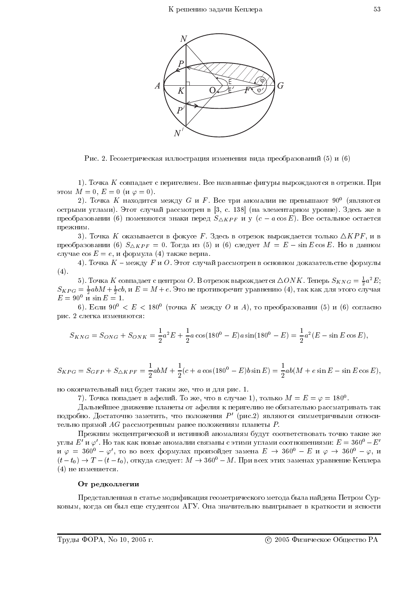

Рис. 2. Геометрическая иллюстрация изменения вида преобразований (5) и (6)

1). Точка *К* совпадает с перигелием. Все названные фигуры вырождаются в отрезки. При этом  $M = 0$ ,  $E = 0$  (и  $\varphi = 0$ ).

2). Точка  $K$  находится между  $G$  и  $F$ . Все три аномалии не превышают  $90^0$  (являются острыми углами). Этот случай рассмотрен в [3, с. 138] (на элементарном уровне). Здесь же в преобразовании (6) поменяются знаки перед  $S_{\triangle KPF}$  и у  $(c - a \cos E)$ . Все остальное остается прежним.

3). Точка *K* оказывается в фокусе *F*. Здесь в отрезок вырождается только  $\triangle KPF$ , и в преобразовании (6)  $S_{\triangle KPF} = 0$ . Тогда из (5) и (6) следует  $M = E - \sin E \cos E$ . Но в данном случае  $\cos E = e$ , и формула (4) также верна.

4). Точка  $K$  – между  $F$  и  $O$ . Этот случай рассмотрен в основном доказательстве формулы  $(4).$ 

5). Точка *K* совпадает с центром *O*. В отрезок вырождается  $\triangle ONK$ . Теперь  $S_{KNG} = \frac{1}{2}a^2E$ ;<br> $S_{KPG} = \frac{1}{2}abM + \frac{1}{2}cb$ , и  $E = M + e$ . Это не противоречит уравнению (4), так как для этого случая  $E = 90^{\circ}$  и  $\sin E = 1$ .

6). Если 90<sup>0</sup> <  $E$  < 180<sup>0</sup> (точка K между O и A), то преобразования (5) и (6) согласно рис. 2 слегка изменяются:

$$
S_{KNG} = S_{ONG} + S_{ONK} = \frac{1}{2}a^2E + \frac{1}{2}a\cos(180^\circ - E)a\sin(180^\circ - E) = \frac{1}{2}a^2(E - \sin E\cos E),
$$

$$
S_{KPG} = S_{GFP} + S_{\triangle KPF} = \frac{1}{2}abM + \frac{1}{2}(c + a\cos(180^\circ - E)b\sin E) = \frac{1}{2}ab(M + e\sin E - \sin E\cos E),
$$

но окончательный вид будет таким же, что и для рис. 1.

7). Точка попадает в афелий. То же, что в случае 1), только  $M = E = \varphi = 180^0$ .

Дальнейшее движение планеты от афелия к перигелию не обязательно рассматривать так подробно. Достаточно заметить, что положения  $P'$  (рис.2) являются симметричными относительно прямой  $AG$  рассмотренным ранее положениям планеты  $P$ .

Прежним эксцентрической и истинной аномалиям будут соответствовать точно такие же углы  $E'$  и  $\varphi'$ . Но так как новые аномалии связаны с этими углами соотношениями:  $E=360^0$  –  $E'$ и  $\varphi = 360^0 - \varphi'$ , то во всех формулах произойдет замена  $E \to 360^0 - E$  и  $\varphi \to 360^0 - \varphi$ , и  $(t-t_0) \rightarrow T-(t-t_0)$ , откуда следует:  $M \rightarrow 360^{\circ} - M$ . При всех этих заменах уравнение Кеплера (4) не изменяется.

### От редколлегии

Представленная в статье модификация геометрического метода была найдена Петром Сурковым, когда он был еще студентом АГУ. Она значительно выигрывает в краткости и ясности